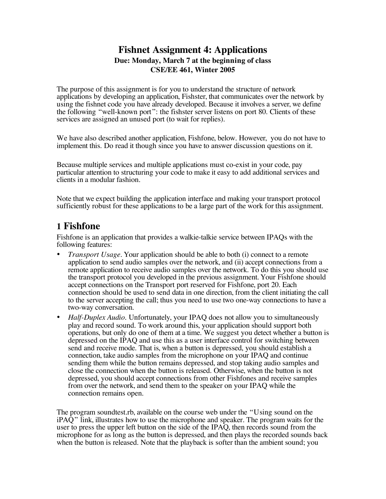### **Fishnet Assignment 4: Applications Due: Monday, March 7 at the beginning of class CSE/EE 461, Winter 2005**

The purpose of this assignment is for you to understand the structure of network applications by developing an application, Fishster, that communicates over the network by using the fishnet code you have already developed. Because it involves a server, we define the following "well-known port": the fishster server listens on port 80. Clients of these services are assigned an unused port (to wait for replies).

We have also described another application, Fishfone, below. However, you do not have to implement this. Do read it though since you have to answer discussion questions on it.

Because multiple services and multiple applications must co-exist in your code, pay particular attention to structuring your code to make it easy to add additional services and clients in a modular fashion.

Note that we expect building the application interface and making your transport protocol sufficiently robust for these applications to be a large part of the work for this assignment.

## **1 Fishfone**

Fishfone is an application that provides a walkie-talkie service between IPAQs with the following features:

- *Transport Usage*. Your application should be able to both (i) connect to a remote application to send audio samples over the network, and (ii) accept connections from a remote application to receive audio samples over the network. To do this you should use the transport protocol you developed in the previous assignment. Your Fishfone should accept connections on the Transport port reserved for Fishfone, port 20. Each connection should be used to send data in one direction, from the client initiating the call to the server accepting the call; thus you need to use two one-way connections to have a two-way conversation.
- *Half-Duplex Audio.* Unfortunately, your IPAQ does not allow you to simultaneously play and record sound. To work around this, your application should support both operations, but only do one of them at a time. We suggest you detect whether a button is depressed on the IPAQ and use this as a user interface control for switching between send and receive mode. That is, when a button is depressed, you should establish a connection, take audio samples from the microphone on your IPAQ and continue sending them while the button remains depressed, and stop taking audio samples and close the connection when the button is released. Otherwise, when the button is not depressed, you should accept connections from other Fishfones and receive samples from over the network, and send them to the speaker on your IPAQ while the connection remains open.

The program soundtest.rb, available on the course web under the "Using sound on the  $iPAQ$ <sup>"</sup> link, illustrates how to use the microphone and speaker. The program waits for the user to press the upper left button on the side of the IPAQ, then records sound from the microphone for as long as the button is depressed, and then plays the recorded sounds back when the button is released. Note that the playback is softer than the ambient sound; you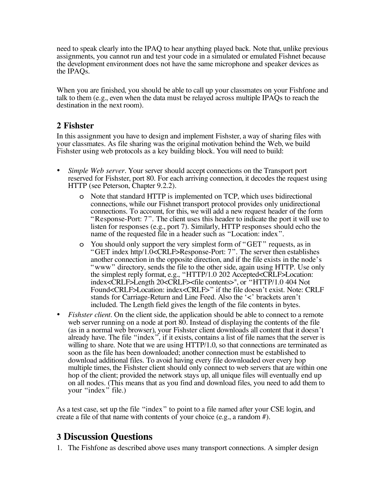need to speak clearly into the IPAQ to hear anything played back. Note that, unlike previous assignments, you cannot run and test your code in a simulated or emulated Fishnet because the development environment does not have the same microphone and speaker devices as the IPAQs.

When you are finished, you should be able to call up your classmates on your Fishfone and talk to them (e.g., even when the data must be relayed across multiple IPAQs to reach the destination in the next room).

#### **2 Fishster**

In this assignment you have to design and implement Fishster, a way of sharing files with your classmates. As file sharing was the original motivation behind the Web, we build Fishster using web protocols as a key building block. You will need to build:

- *Simple Web server*. Your server should accept connections on the Transport port reserved for Fishster, port 80. For each arriving connection, it decodes the request using HTTP (see Peterson, Chapter 9.2.2).
	- o Note that standard HTTP is implemented on TCP, which uses bidirectional connections, while our Fishnet transport protocol provides only unidirectional connections. To account, for this, we will add a new request header of the form "Response-Port: 7". The client uses this header to indicate the port it will use to listen for responses (e.g., port 7). Similarly, HTTP responses should echo the name of the requested file in a header such as "Location: index".
	- o You should only support the very simplest form of "GET" requests, as in "GET index http/1.0<CRLF>Response-Port: 7". The server then establishes another connection in the opposite direction, and if the file exists in the node's "www" directory, sends the file to the other side, again using HTTP. Use only the simplest reply format, e.g., "HTTP/1.0 202 Accepted<CRLF>Location: index<CRLF>Length 20<CRLF><file contents>", or "HTTP/1.0 404 Not Found<CRLF>Location: index<CRLF>" if the file doesn't exist. Note: CRLF stands for Carriage-Return and Line Feed. Also the '<' brackets aren't included. The Length field gives the length of the file contents in bytes.
- *Fishster client.* On the client side, the application should be able to connect to a remote web server running on a node at port 80. Instead of displaying the contents of the file (as in a normal web browser), your Fishster client downloads all content that it doesn't already have. The file "index", if it exists, contains a list of file names that the server is willing to share. Note that we are using HTTP/1.0, so that connections are terminated as soon as the file has been downloaded; another connection must be established to download additional files. To avoid having every file downloaded over every hop multiple times, the Fishster client should only connect to web servers that are within one hop of the client; provided the network stays up, all unique files will eventually end up on all nodes. (This means that as you find and download files, you need to add them to your "index" file.)

As a test case, set up the file "index" to point to a file named after your CSE login, and create a file of that name with contents of your choice (e.g., a random #).

# **3 Discussion Questions**

1. The Fishfone as described above uses many transport connections. A simpler design